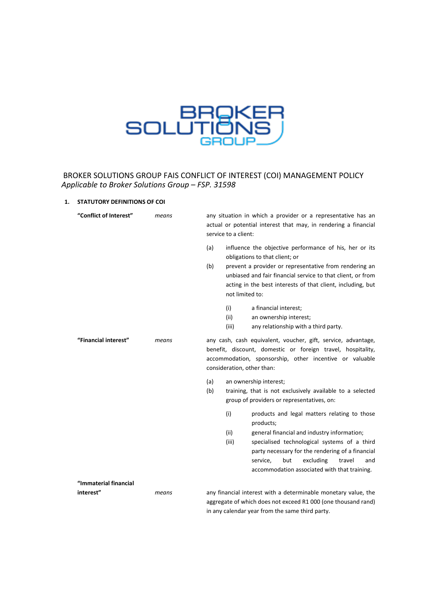

# BROKER SOLUTIONS GROUP FAIS CONFLICT OF INTEREST (COI) MANAGEMENT POLICY  *Applicable to Broker Solutions Group – FSP. 31598*

## **1. STATUTORY DEFINITIONS OF COI**

| "Conflict of Interest"             | means | any situation in which a provider or a representative has an<br>actual or potential interest that may, in rendering a financial<br>service to a client:                                                                                                                                                                               |
|------------------------------------|-------|---------------------------------------------------------------------------------------------------------------------------------------------------------------------------------------------------------------------------------------------------------------------------------------------------------------------------------------|
|                                    |       | influence the objective performance of his, her or its<br>(a)<br>obligations to that client; or<br>(b)<br>prevent a provider or representative from rendering an<br>unbiased and fair financial service to that client, or from<br>acting in the best interests of that client, including, but<br>not limited to:                     |
|                                    |       | (i)<br>a financial interest;<br>(ii)<br>an ownership interest;<br>(iii)<br>any relationship with a third party.                                                                                                                                                                                                                       |
| "Financial interest"               | means | any cash, cash equivalent, voucher, gift, service, advantage,<br>benefit, discount, domestic or foreign travel, hospitality,<br>accommodation, sponsorship, other incentive or valuable<br>consideration, other than:                                                                                                                 |
|                                    |       | (a)<br>an ownership interest;<br>(b)<br>training, that is not exclusively available to a selected<br>group of providers or representatives, on:                                                                                                                                                                                       |
|                                    |       | (i)<br>products and legal matters relating to those<br>products;<br>(ii)<br>general financial and industry information;<br>(iii)<br>specialised technological systems of a third<br>party necessary for the rendering of a financial<br>but<br>excluding<br>service,<br>travel<br>and<br>accommodation associated with that training. |
| "Immaterial financial<br>interest" | means | any financial interest with a determinable monetary value, the<br>aggregate of which does not exceed R1 000 (one thousand rand)<br>in any calendar year from the same third party.                                                                                                                                                    |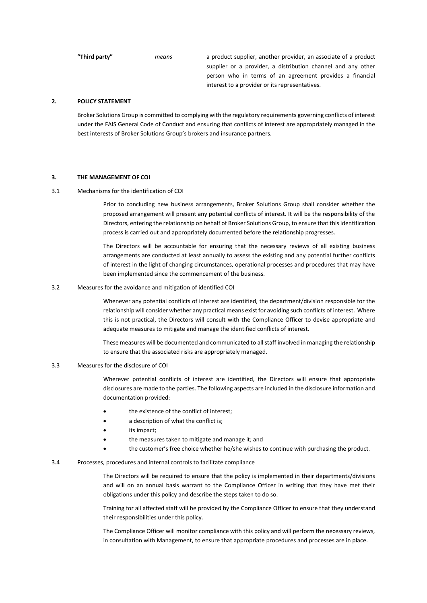**"Third party"** *means* a product supplier, another provider, an associate of a product supplier or a provider, a distribution channel and any other person who in terms of an agreement provides a financial interest to a provider or its representatives.

#### **2. POLICY STATEMENT**

Broker Solutions Group is committed to complying with the regulatory requirements governing conflicts of interest under the FAIS General Code of Conduct and ensuring that conflicts of interest are appropriately managed in the best interests of Broker Solutions Group's brokers and insurance partners.

### **3. THE MANAGEMENT OF COI**

3.1 Mechanisms for the identification of COI

Prior to concluding new business arrangements, Broker Solutions Group shall consider whether the proposed arrangement will present any potential conflicts of interest. It will be the responsibility of the Directors, entering the relationship on behalf of Broker Solutions Group, to ensure that this identification process is carried out and appropriately documented before the relationship progresses.

The Directors will be accountable for ensuring that the necessary reviews of all existing business arrangements are conducted at least annually to assess the existing and any potential further conflicts of interest in the light of changing circumstances, operational processes and procedures that may have been implemented since the commencement of the business.

3.2 Measures for the avoidance and mitigation of identified COI

Whenever any potential conflicts of interest are identified, the department/division responsible for the relationship will consider whether any practical means exist for avoiding such conflicts of interest. Where this is not practical, the Directors will consult with the Compliance Officer to devise appropriate and adequate measures to mitigate and manage the identified conflicts of interest.

These measures will be documented and communicated to all staff involved in managing the relationship to ensure that the associated risks are appropriately managed.

#### 3.3 Measures for the disclosure of COI

Wherever potential conflicts of interest are identified, the Directors will ensure that appropriate disclosures are made to the parties. The following aspects are included in the disclosure information and documentation provided:

- the existence of the conflict of interest;
- a description of what the conflict is;
- its impact;
- the measures taken to mitigate and manage it; and
- the customer's free choice whether he/she wishes to continue with purchasing the product.

#### 3.4 Processes, procedures and internal controls to facilitate compliance

The Directors will be required to ensure that the policy is implemented in their departments/divisions and will on an annual basis warrant to the Compliance Officer in writing that they have met their obligations under this policy and describe the steps taken to do so.

Training for all affected staff will be provided by the Compliance Officer to ensure that they understand their responsibilities under this policy.

The Compliance Officer will monitor compliance with this policy and will perform the necessary reviews, in consultation with Management, to ensure that appropriate procedures and processes are in place.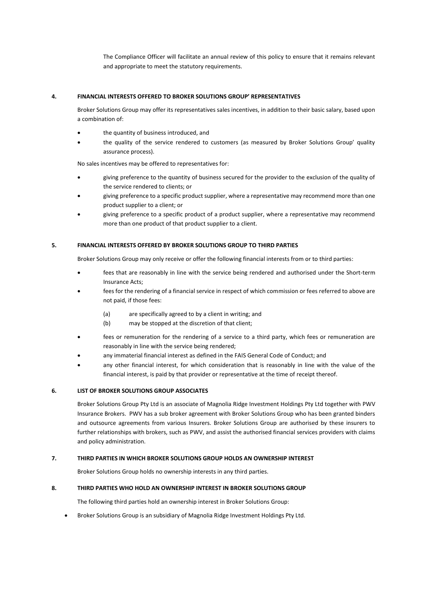The Compliance Officer will facilitate an annual review of this policy to ensure that it remains relevant and appropriate to meet the statutory requirements.

#### **4. FINANCIAL INTERESTS OFFERED TO BROKER SOLUTIONS GROUP' REPRESENTATIVES**

Broker Solutions Group may offer its representatives sales incentives, in addition to their basic salary, based upon a combination of:

- the quantity of business introduced, and
- the quality of the service rendered to customers (as measured by Broker Solutions Group' quality assurance process).

No sales incentives may be offered to representatives for:

- giving preference to the quantity of business secured for the provider to the exclusion of the quality of the service rendered to clients; or
- giving preference to a specific product supplier, where a representative may recommend more than one product supplier to a client; or
- giving preference to a specific product of a product supplier, where a representative may recommend more than one product of that product supplier to a client.

#### **5. FINANCIAL INTERESTS OFFERED BY BROKER SOLUTIONS GROUP TO THIRD PARTIES**

Broker Solutions Group may only receive or offer the following financial interests from or to third parties:

- fees that are reasonably in line with the service being rendered and authorised under the Short-term Insurance Acts;
- fees for the rendering of a financial service in respect of which commission or fees referred to above are not paid, if those fees:
	- (a) are specifically agreed to by a client in writing; and
	- (b) may be stopped at the discretion of that client;
- fees or remuneration for the rendering of a service to a third party, which fees or remuneration are reasonably in line with the service being rendered;
- any immaterial financial interest as defined in the FAIS General Code of Conduct; and
- any other financial interest, for which consideration that is reasonably in line with the value of the financial interest, is paid by that provider or representative at the time of receipt thereof.

#### **6. LIST OF BROKER SOLUTIONS GROUP ASSOCIATES**

Broker Solutions Group Pty Ltd is an associate of Magnolia Ridge Investment Holdings Pty Ltd together with PWV Insurance Brokers. PWV has a sub broker agreement with Broker Solutions Group who has been granted binders and outsource agreements from various Insurers. Broker Solutions Group are authorised by these insurers to further relationships with brokers, such as PWV, and assist the authorised financial services providers with claims and policy administration.

#### **7. THIRD PARTIES IN WHICH BROKER SOLUTIONS GROUP HOLDS AN OWNERSHIP INTEREST**

Broker Solutions Group holds no ownership interests in any third parties.

#### **8. THIRD PARTIES WHO HOLD AN OWNERSHIP INTEREST IN BROKER SOLUTIONS GROUP**

The following third parties hold an ownership interest in Broker Solutions Group:

• Broker Solutions Group is an subsidiary of Magnolia Ridge Investment Holdings Pty Ltd.